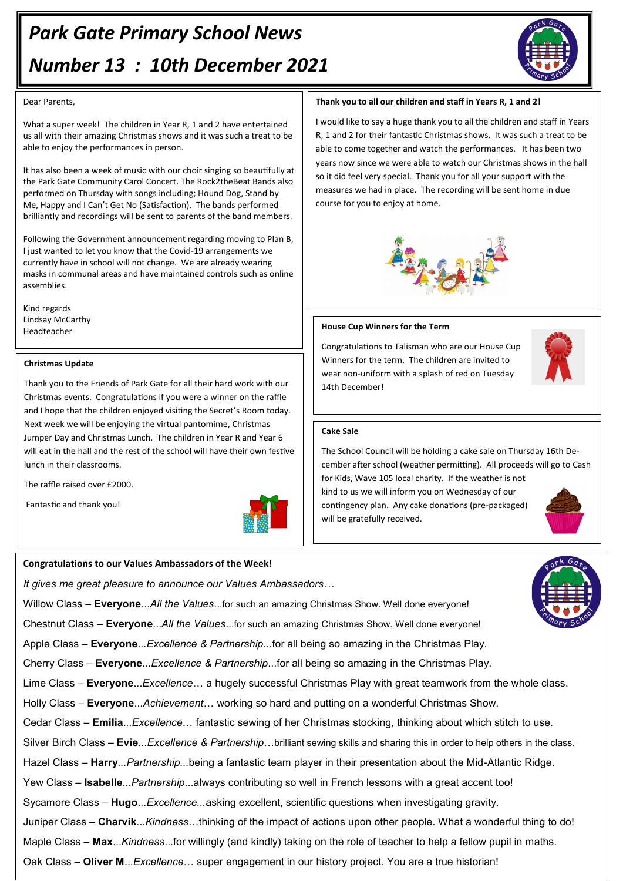# *Park Gate Primary School News Number 13 : 10th December 2021*



#### Dear Parents,

What a super week! The children in Year R, 1 and 2 have entertained us all with their amazing Christmas shows and it was such a treat to be able to enjoy the performances in person.

It has also been a week of music with our choir singing so beautifully at the Park Gate Community Carol Concert. The Rock2theBeat Bands also performed on Thursday with songs including; Hound Dog, Stand by Me, Happy and I Can't Get No (Satisfaction). The bands performed brilliantly and recordings will be sent to parents of the band members.

Following the Government announcement regarding moving to Plan B, I just wanted to let you know that the Covid-19 arrangements we currently have in school will not change. We are already wearing masks in communal areas and have maintained controls such as online assemblies.

Kind regards Lindsay McCarthy Headteacher

#### **Christmas Update**

Thank you to the Friends of Park Gate for all their hard work with our Christmas events. Congratulations if you were a winner on the raffle and I hope that the children enjoyed visiting the Secret's Room today. Next week we will be enjoying the virtual pantomime, Christmas Jumper Day and Christmas Lunch. The children in Year R and Year 6 will eat in the hall and the rest of the school will have their own festive lunch in their classrooms.

The raffle raised over £2000.

Fantastic and thank you!



#### **Congratulations to our Values Ambassadors of the Week!**

*It gives me great pleasure to announce our Values Ambassadors…*

Willow Class – **Everyone**...*All the Values*...for such an amazing Christmas Show. Well done everyone!

Chestnut Class – **Everyone**...*All the Values*...for such an amazing Christmas Show. Well done everyone!

Apple Class – **Everyone**...*Excellence & Partnership*...for all being so amazing in the Christmas Play.

Cherry Class – **Everyone**...*Excellence & Partnership*...for all being so amazing in the Christmas Play.

Lime Class – **Everyone**...*Excellence*… a hugely successful Christmas Play with great teamwork from the whole class.

Holly Class – **Everyone**...*Achievement*… working so hard and putting on a wonderful Christmas Show.

Cedar Class – **Emilia**...*Excellence*… fantastic sewing of her Christmas stocking, thinking about which stitch to use.

Silver Birch Class – **Evie**...*Excellence & Partnership*…brilliant sewing skills and sharing this in order to help others in the class.

Hazel Class *–* **Harry***...Partnership...*being a fantastic team player in their presentation about the Mid-Atlantic Ridge.

Yew Class – **Isabelle**...*Partnership*...always contributing so well in French lessons with a great accent too!

Sycamore Class – **Hugo**...*Excellence...*asking excellent, scientific questions when investigating gravity.

Juniper Class – **Charvik**...*Kindness*…thinking of the impact of actions upon other people. What a wonderful thing to do!

Maple Class – **Max**...*Kindness*...for willingly (and kindly) taking on the role of teacher to help a fellow pupil in maths.

Oak Class – **Oliver M**...*Excellence*… super engagement in our history project. You are a true historian!

### **Thank you to all our children and staff in Years R, 1 and 2!**

I would like to say a huge thank you to all the children and staff in Years R, 1 and 2 for their fantastic Christmas shows. It was such a treat to be able to come together and watch the performances. It has been two years now since we were able to watch our Christmas shows in the hall so it did feel very special. Thank you for all your support with the measures we had in place. The recording will be sent home in due course for you to enjoy at home.





#### **Cake Sale**

14th December!

**House Cup Winners for the Term**

Congratulations to Talisman who are our House Cup Winners for the term. The children are invited to wear non-uniform with a splash of red on Tuesday

The School Council will be holding a cake sale on Thursday 16th December after school (weather permitting). All proceeds will go to Cash for Kids, Wave 105 local charity. If the weather is not kind to us we will inform you on Wednesday of our contingency plan. Any cake donations (pre-packaged) will be gratefully received.